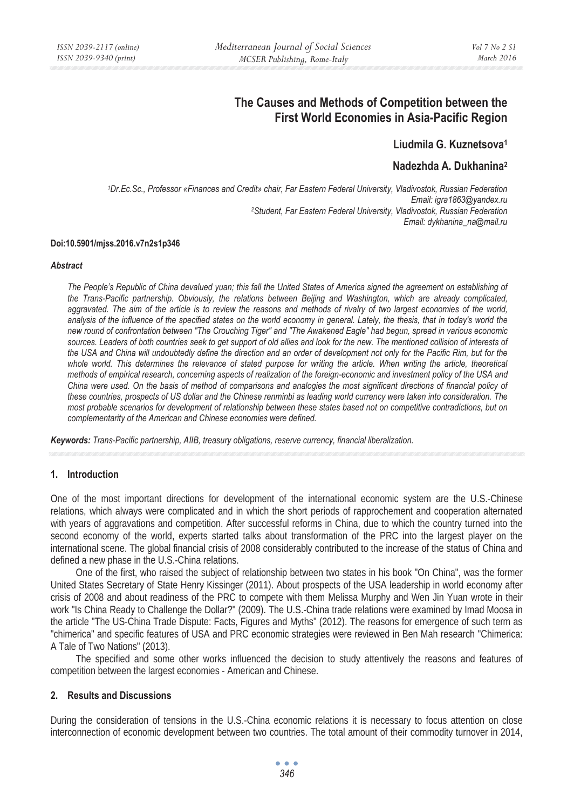# **The Causes and Methods of Competition between the First World Economies in Asia-Pacific Region**

## **Liudmila G. Kuznetsova1**

## **Nadezhda A. Dukhanina2**

*1Dr.Ec.Sc., Professor «Finances and Credit» chair, Far Eastern Federal University, Vladivostok, Russian Federation Email: igra1863@yandex.ru 2Student, Far Eastern Federal University, Vladivostok, Russian Federation Email: dykhanina\_na@mail.ru* 

#### **Doi:10.5901/mjss.2016.v7n2s1p346**

#### *Abstract*

*The People's Republic of China devalued yuan; this fall the United States of America signed the agreement on establishing of the Trans-Pacific partnership. Obviously, the relations between Beijing and Washington, which are already complicated, aggravated. The aim of the article is to review the reasons and methods of rivalry of two largest economies of the world,*  analysis of the influence of the specified states on the world economy in general. Lately, the thesis, that in today's world the *new round of confrontation between "The Crouching Tiger" and "The Awakened Eagle" had begun, spread in various economic*  sources. Leaders of both countries seek to get support of old allies and look for the new. The mentioned collision of interests of the USA and China will undoubtedly define the direction and an order of development not only for the Pacific Rim, but for the whole world. This determines the relevance of stated purpose for writing the article. When writing the article, theoretical *methods of empirical research, concerning aspects of realization of the foreign-economic and investment policy of the USA and China were used. On the basis of method of comparisons and analogies the most significant directions of financial policy of these countries, prospects of US dollar and the Chinese renminbi as leading world currency were taken into consideration. The most probable scenarios for development of relationship between these states based not on competitive contradictions, but on complementarity of the American and Chinese economies were defined.* 

*Keywords: Trans-Pacific partnership, AIIB, treasury obligations, reserve currency, financial liberalization.* 

### **1. Introduction**

One of the most important directions for development of the international economic system are the U.S.-Chinese relations, which always were complicated and in which the short periods of rapprochement and cooperation alternated with years of aggravations and competition. After successful reforms in China, due to which the country turned into the second economy of the world, experts started talks about transformation of the PRC into the largest player on the international scene. The global financial crisis of 2008 considerably contributed to the increase of the status of China and defined a new phase in the U.S.-China relations.

One of the first, who raised the subject of relationship between two states in his book "On China", was the former United States Secretary of State Henry Kissinger (2011). About prospects of the USA leadership in world economy after crisis of 2008 and about readiness of the PRC to compete with them Melissa Murphy and Wen Jin Yuan wrote in their work "Is China Ready to Challenge the Dollar?" (2009). The U.S.-China trade relations were examined by Imad Moosa in the article "The US-China Trade Dispute: Facts, Figures and Myths" (2012). The reasons for emergence of such term as "chimerica" and specific features of USA and PRC economic strategies were reviewed in Ben Mah research "Chimerica: A Tale of Two Nations" (2013).

The specified and some other works influenced the decision to study attentively the reasons and features of competition between the largest economies - American and Chinese.

## **2. Results and Discussions**

During the consideration of tensions in the U.S.-China economic relations it is necessary to focus attention on close interconnection of economic development between two countries. The total amount of their commodity turnover in 2014,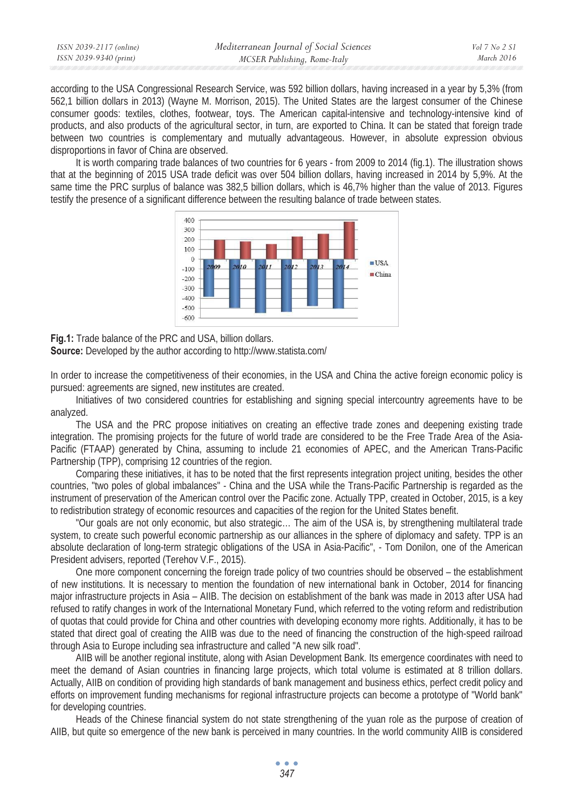| ISSN 2039-2117 (online) | Mediterranean Journal of Social Sciences | Vol 7 No 2 SI |
|-------------------------|------------------------------------------|---------------|
| ISSN 2039-9340 (print)  | MCSER Publishing, Rome-Italy             | March 2016    |

according to the USA Congressional Research Service, was 592 billion dollars, having increased in a year by 5,3% (from 562,1 billion dollars in 2013) (Wayne M. Morrison, 2015). The United States are the largest consumer of the Chinese consumer goods: textiles, clothes, footwear, toys. The American capital-intensive and technology-intensive kind of products, and also products of the agricultural sector, in turn, are exported to China. It can be stated that foreign trade between two countries is complementary and mutually advantageous. However, in absolute expression obvious disproportions in favor of China are observed.

It is worth comparing trade balances of two countries for 6 years - from 2009 to 2014 (fig.1). The illustration shows that at the beginning of 2015 USA trade deficit was over 504 billion dollars, having increased in 2014 by 5,9%. At the same time the PRC surplus of balance was 382,5 billion dollars, which is 46,7% higher than the value of 2013. Figures testify the presence of a significant difference between the resulting balance of trade between states.



**Fig.1:** Trade balance of the PRC and USA, billion dollars.

**Source:** Developed by the author according to http://www.statista.com/

In order to increase the competitiveness of their economies, in the USA and China the active foreign economic policy is pursued: agreements are signed, new institutes are created.

Initiatives of two considered countries for establishing and signing special intercountry agreements have to be analyzed.

The USA and the PRC propose initiatives on creating an effective trade zones and deepening existing trade integration. The promising projects for the future of world trade are considered to be the Free Trade Area of the Asia-Pacific (FTAAP) generated by China, assuming to include 21 economies of APEC, and the American Trans-Pacific Partnership (TPP), comprising 12 countries of the region.

Comparing these initiatives, it has to be noted that the first represents integration project uniting, besides the other countries, "two poles of global imbalances" - China and the USA while the Trans-Pacific Partnership is regarded as the instrument of preservation of the American control over the Pacific zone. Actually TPP, created in October, 2015, is a key to redistribution strategy of economic resources and capacities of the region for the United States benefit.

"Our goals are not only economic, but also strategic… The aim of the USA is, by strengthening multilateral trade system, to create such powerful economic partnership as our alliances in the sphere of diplomacy and safety. TPP is an absolute declaration of long-term strategic obligations of the USA in Asia-Pacific", - Tom Donilon, one of the American President advisers, reported (Terehov V.F., 2015).

One more component concerning the foreign trade policy of two countries should be observed – the establishment of new institutions. It is necessary to mention the foundation of new international bank in October, 2014 for financing major infrastructure projects in Asia – AIIB. The decision on establishment of the bank was made in 2013 after USA had refused to ratify changes in work of the International Monetary Fund, which referred to the voting reform and redistribution of quotas that could provide for China and other countries with developing economy more rights. Additionally, it has to be stated that direct goal of creating the AIIB was due to the need of financing the construction of the high-speed railroad through Asia to Europe including sea infrastructure and called "A new silk road".

AIIB will be another regional institute, along with Asian Development Bank. Its emergence coordinates with need to meet the demand of Asian countries in financing large projects, which total volume is estimated at 8 trillion dollars. Actually, AIIB on condition of providing high standards of bank management and business ethics, perfect credit policy and efforts on improvement funding mechanisms for regional infrastructure projects can become a prototype of "World bank" for developing countries.

Heads of the Chinese financial system do not state strengthening of the yuan role as the purpose of creation of AIIB, but quite so emergence of the new bank is perceived in many countries. In the world community AIIB is considered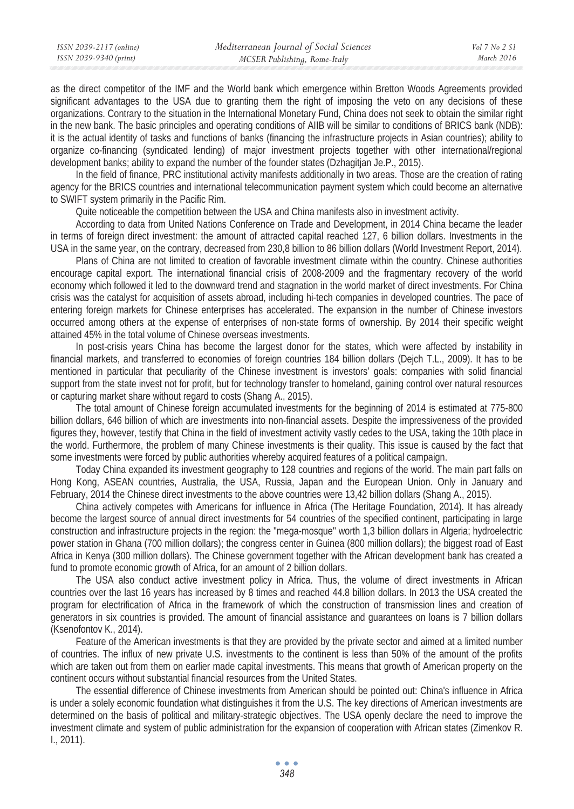as the direct competitor of the IMF and the World bank which emergence within Bretton Woods Agreements provided significant advantages to the USA due to granting them the right of imposing the veto on any decisions of these organizations. Contrary to the situation in the International Monetary Fund, China does not seek to obtain the similar right in the new bank. The basic principles and operating conditions of AIIB will be similar to conditions of BRICS bank (NDB): it is the actual identity of tasks and functions of banks (financing the infrastructure projects in Asian countries); ability to organize co-financing (syndicated lending) of major investment projects together with other international/regional development banks; ability to expand the number of the founder states (Dzhagitjan Je.P., 2015).

In the field of finance, PRC institutional activity manifests additionally in two areas. Those are the creation of rating agency for the BRICS countries and international telecommunication payment system which could become an alternative to SWIFT system primarily in the Pacific Rim.

Quite noticeable the competition between the USA and China manifests also in investment activity.

According to data from United Nations Conference on Trade and Development, in 2014 China became the leader in terms of foreign direct investment: the amount of attracted capital reached 127, 6 billion dollars. Investments in the USA in the same year, on the contrary, decreased from 230,8 billion to 86 billion dollars (World Investment Report, 2014).

Plans of China are not limited to creation of favorable investment climate within the country. Chinese authorities encourage capital export. The international financial crisis of 2008-2009 and the fragmentary recovery of the world economy which followed it led to the downward trend and stagnation in the world market of direct investments. For China crisis was the catalyst for acquisition of assets abroad, including hi-tech companies in developed countries. The pace of entering foreign markets for Chinese enterprises has accelerated. The expansion in the number of Chinese investors occurred among others at the expense of enterprises of non-state forms of ownership. By 2014 their specific weight attained 45% in the total volume of Chinese overseas investments.

In post-crisis years China has become the largest donor for the states, which were affected by instability in financial markets, and transferred to economies of foreign countries 184 billion dollars (Dejch T.L., 2009). It has to be mentioned in particular that peculiarity of the Chinese investment is investors' goals: companies with solid financial support from the state invest not for profit, but for technology transfer to homeland, gaining control over natural resources or capturing market share without regard to costs (Shang A., 2015).

The total amount of Chinese foreign accumulated investments for the beginning of 2014 is estimated at 775-800 billion dollars, 646 billion of which are investments into non-financial assets. Despite the impressiveness of the provided figures they, however, testify that China in the field of investment activity vastly cedes to the USA, taking the 10th place in the world. Furthermore, the problem of many Chinese investments is their quality. This issue is caused by the fact that some investments were forced by public authorities whereby acquired features of a political campaign.

Today China expanded its investment geography to 128 countries and regions of the world. The main part falls on Hong Kong, ASEAN countries, Australia, the USA, Russia, Japan and the European Union. Only in January and February, 2014 the Chinese direct investments to the above countries were 13,42 billion dollars (Shang A., 2015).

China actively competes with Americans for influence in Africa (The Heritage Foundation, 2014). It has already become the largest source of annual direct investments for 54 countries of the specified continent, participating in large construction and infrastructure projects in the region: the "mega-mosque" worth 1,3 billion dollars in Algeria; hydroelectric power station in Ghana (700 million dollars); the congress center in Guinea (800 million dollars); the biggest road of East Africa in Kenya (300 million dollars). The Chinese government together with the African development bank has created a fund to promote economic growth of Africa, for an amount of 2 billion dollars.

The USA also conduct active investment policy in Africa. Thus, the volume of direct investments in African countries over the last 16 years has increased by 8 times and reached 44.8 billion dollars. In 2013 the USA created the program for electrification of Africa in the framework of which the construction of transmission lines and creation of generators in six countries is provided. The amount of financial assistance and guarantees on loans is 7 billion dollars (Ksenofontov K., 2014).

Feature of the American investments is that they are provided by the private sector and aimed at a limited number of countries. The influx of new private U.S. investments to the continent is less than 50% of the amount of the profits which are taken out from them on earlier made capital investments. This means that growth of American property on the continent occurs without substantial financial resources from the United States.

The essential difference of Chinese investments from American should be pointed out: China's influence in Africa is under a solely economic foundation what distinguishes it from the U.S. The key directions of American investments are determined on the basis of political and military-strategic objectives. The USA openly declare the need to improve the investment climate and system of public administration for the expansion of cooperation with African states (Zimenkov R. I., 2011).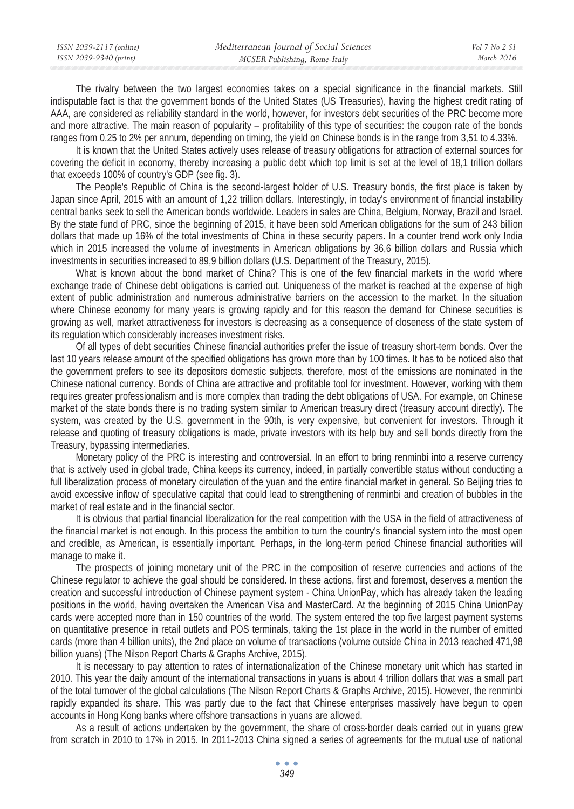| ISSN 2039-2117 (online) | Mediterranean Journal of Social Sciences | $Vol 7$ No 2 S1 |
|-------------------------|------------------------------------------|-----------------|
| ISSN 2039-9340 (print)  | MCSER Publishing, Rome-Italy             | March 2016      |

The rivalry between the two largest economies takes on a special significance in the financial markets. Still indisputable fact is that the government bonds of the United States (US Treasuries), having the highest credit rating of AAA, are considered as reliability standard in the world, however, for investors debt securities of the PRC become more and more attractive. The main reason of popularity – profitability of this type of securities: the coupon rate of the bonds ranges from 0.25 to 2% per annum, depending on timing, the yield on Chinese bonds is in the range from 3,51 to 4.33%.

It is known that the United States actively uses release of treasury obligations for attraction of external sources for covering the deficit in economy, thereby increasing a public debt which top limit is set at the level of 18,1 trillion dollars that exceeds 100% of country's GDP (see fig. 3).

The People's Republic of China is the second-largest holder of U.S. Treasury bonds, the first place is taken by Japan since April, 2015 with an amount of 1,22 trillion dollars. Interestingly, in today's environment of financial instability central banks seek to sell the American bonds worldwide. Leaders in sales are China, Belgium, Norway, Brazil and Israel. By the state fund of PRC, since the beginning of 2015, it have been sold American obligations for the sum of 243 billion dollars that made up 16% of the total investments of China in these security papers. In a counter trend work only India which in 2015 increased the volume of investments in American obligations by 36,6 billion dollars and Russia which investments in securities increased to 89,9 billion dollars (U.S. Department of the Treasury, 2015).

What is known about the bond market of China? This is one of the few financial markets in the world where exchange trade of Chinese debt obligations is carried out. Uniqueness of the market is reached at the expense of high extent of public administration and numerous administrative barriers on the accession to the market. In the situation where Chinese economy for many years is growing rapidly and for this reason the demand for Chinese securities is growing as well, market attractiveness for investors is decreasing as a consequence of closeness of the state system of its regulation which considerably increases investment risks.

Of all types of debt securities Chinese financial authorities prefer the issue of treasury short-term bonds. Over the last 10 years release amount of the specified obligations has grown more than by 100 times. It has to be noticed also that the government prefers to see its depositors domestic subjects, therefore, most of the emissions are nominated in the Chinese national currency. Bonds of China are attractive and profitable tool for investment. However, working with them requires greater professionalism and is more complex than trading the debt obligations of USA. For example, on Chinese market of the state bonds there is no trading system similar to American treasury direct (treasury account directly). The system, was created by the U.S. government in the 90th, is very expensive, but convenient for investors. Through it release and quoting of treasury obligations is made, private investors with its help buy and sell bonds directly from the Treasury, bypassing intermediaries.

Monetary policy of the PRC is interesting and controversial. In an effort to bring renminbi into a reserve currency that is actively used in global trade, China keeps its currency, indeed, in partially convertible status without conducting a full liberalization process of monetary circulation of the yuan and the entire financial market in general. So Beijing tries to avoid excessive inflow of speculative capital that could lead to strengthening of renminbi and creation of bubbles in the market of real estate and in the financial sector.

It is obvious that partial financial liberalization for the real competition with the USA in the field of attractiveness of the financial market is not enough. In this process the ambition to turn the country's financial system into the most open and credible, as American, is essentially important. Perhaps, in the long-term period Chinese financial authorities will manage to make it.

The prospects of joining monetary unit of the PRC in the composition of reserve currencies and actions of the Chinese regulator to achieve the goal should be considered. In these actions, first and foremost, deserves a mention the creation and successful introduction of Chinese payment system - China UnionPay, which has already taken the leading positions in the world, having overtaken the American Visa and MasterCard. At the beginning of 2015 China UnionPay cards were accepted more than in 150 countries of the world. The system entered the top five largest payment systems on quantitative presence in retail outlets and POS terminals, taking the 1st place in the world in the number of emitted cards (more than 4 billion units), the 2nd place on volume of transactions (volume outside China in 2013 reached 471,98 billion yuans) (The Nilson Report Charts & Graphs Archive, 2015).

It is necessary to pay attention to rates of internationalization of the Chinese monetary unit which has started in 2010. This year the daily amount of the international transactions in yuans is about 4 trillion dollars that was a small part of the total turnover of the global calculations (The Nilson Report Charts & Graphs Archive, 2015). However, the renminbi rapidly expanded its share. This was partly due to the fact that Chinese enterprises massively have begun to open accounts in Hong Kong banks where offshore transactions in yuans are allowed.

As a result of actions undertaken by the government, the share of cross-border deals carried out in yuans grew from scratch in 2010 to 17% in 2015. In 2011-2013 China signed a series of agreements for the mutual use of national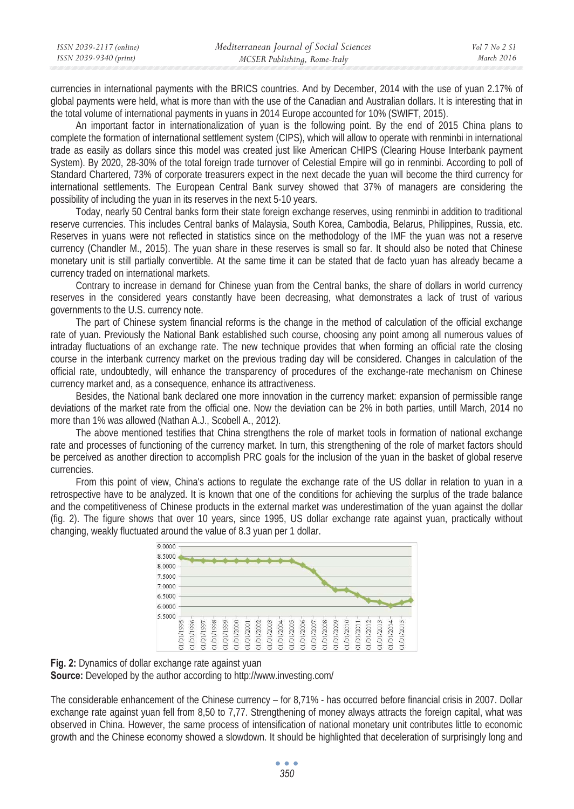| ISSN 2039-2117 (online) | Mediterranean Journal of Social Sciences | Vol 7 No 2 SI |
|-------------------------|------------------------------------------|---------------|
| ISSN 2039-9340 (print)  | MCSER Publishing, Rome-Italy             | March 2016    |

currencies in international payments with the BRICS countries. And by December, 2014 with the use of yuan 2.17% of global payments were held, what is more than with the use of the Canadian and Australian dollars. It is interesting that in the total volume of international payments in yuans in 2014 Europe accounted for 10% (SWIFT, 2015).

An important factor in internationalization of yuan is the following point. By the end of 2015 China plans to complete the formation of international settlement system (CIPS), which will allow to operate with renminbi in international trade as easily as dollars since this model was created just like American CHIPS (Clearing House Interbank payment System). By 2020, 28-30% of the total foreign trade turnover of Celestial Empire will go in renminbi. According to poll of Standard Chartered, 73% of corporate treasurers expect in the next decade the yuan will become the third currency for international settlements. The European Central Bank survey showed that 37% of managers are considering the possibility of including the yuan in its reserves in the next 5-10 years.

Today, nearly 50 Central banks form their state foreign exchange reserves, using renminbi in addition to traditional reserve currencies. This includes Central banks of Malaysia, South Korea, Cambodia, Belarus, Philippines, Russia, etc. Reserves in yuans were not reflected in statistics since on the methodology of the IMF the yuan was not a reserve currency (Chandler M., 2015). The yuan share in these reserves is small so far. It should also be noted that Chinese monetary unit is still partially convertible. At the same time it can be stated that de facto yuan has already became a currency traded on international markets.

Contrary to increase in demand for Chinese yuan from the Central banks, the share of dollars in world currency reserves in the considered years constantly have been decreasing, what demonstrates a lack of trust of various governments to the U.S. currency note.

The part of Chinese system financial reforms is the change in the method of calculation of the official exchange rate of yuan. Previously the National Bank established such course, choosing any point among all numerous values of intraday fluctuations of an exchange rate. The new technique provides that when forming an official rate the closing course in the interbank currency market on the previous trading day will be considered. Changes in calculation of the official rate, undoubtedly, will enhance the transparency of procedures of the exchange-rate mechanism on Chinese currency market and, as a consequence, enhance its attractiveness.

Besides, the National bank declared one more innovation in the currency market: expansion of permissible range deviations of the market rate from the official one. Now the deviation can be 2% in both parties, untill March, 2014 no more than 1% was allowed (Nathan A.J., Scobell A., 2012).

The above mentioned testifies that China strengthens the role of market tools in formation of national exchange rate and processes of functioning of the currency market. In turn, this strengthening of the role of market factors should be perceived as another direction to accomplish PRC goals for the inclusion of the yuan in the basket of global reserve currencies.

From this point of view, China's actions to regulate the exchange rate of the US dollar in relation to yuan in a retrospective have to be analyzed. It is known that one of the conditions for achieving the surplus of the trade balance and the competitiveness of Chinese products in the external market was underestimation of the yuan against the dollar (fig. 2). The figure shows that over 10 years, since 1995, US dollar exchange rate against yuan, practically without changing, weakly fluctuated around the value of 8.3 yuan per 1 dollar.



**Fig. 2:** Dynamics of dollar exchange rate against yuan **Source:** Developed by the author according to http://www.investing.com/

The considerable enhancement of the Chinese currency – for 8,71% - has occurred before financial crisis in 2007. Dollar exchange rate against yuan fell from 8,50 to 7,77. Strengthening of money always attracts the foreign capital, what was observed in China. However, the same process of intensification of national monetary unit contributes little to economic growth and the Chinese economy showed a slowdown. It should be highlighted that deceleration of surprisingly long and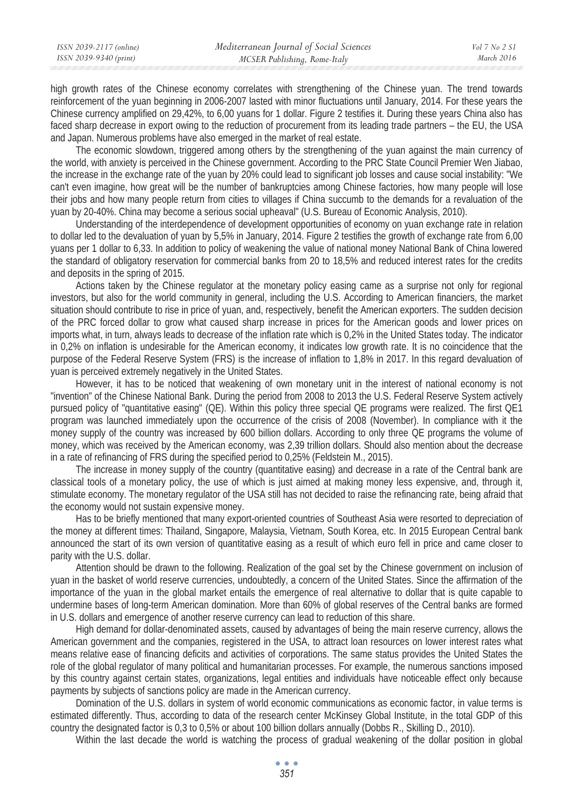high growth rates of the Chinese economy correlates with strengthening of the Chinese yuan. The trend towards reinforcement of the yuan beginning in 2006-2007 lasted with minor fluctuations until January, 2014. For these years the Chinese currency amplified on 29,42%, to 6,00 yuans for 1 dollar. Figure 2 testifies it. During these years China also has faced sharp decrease in export owing to the reduction of procurement from its leading trade partners – the EU, the USA and Japan. Numerous problems have also emerged in the market of real estate.

The economic slowdown, triggered among others by the strengthening of the yuan against the main currency of the world, with anxiety is perceived in the Chinese government. According to the PRC State Council Premier Wen Jiabao, the increase in the exchange rate of the yuan by 20% could lead to significant job losses and cause social instability: "We can't even imagine, how great will be the number of bankruptcies among Chinese factories, how many people will lose their jobs and how many people return from cities to villages if China succumb to the demands for a revaluation of the yuan by 20-40%. China may become a serious social upheaval" (U.S. Bureau of Economic Analysis, 2010).

Understanding of the interdependence of development opportunities of economy on yuan exchange rate in relation to dollar led to the devaluation of yuan by 5,5% in January, 2014. Figure 2 testifies the growth of exchange rate from 6,00 yuans per 1 dollar to 6,33. In addition to policy of weakening the value of national money National Bank of China lowered the standard of obligatory reservation for commercial banks from 20 to 18,5% and reduced interest rates for the credits and deposits in the spring of 2015.

Actions taken by the Chinese regulator at the monetary policy easing came as a surprise not only for regional investors, but also for the world community in general, including the U.S. According to American financiers, the market situation should contribute to rise in price of yuan, and, respectively, benefit the American exporters. The sudden decision of the PRC forced dollar to grow what caused sharp increase in prices for the American goods and lower prices on imports what, in turn, always leads to decrease of the inflation rate which is 0,2% in the United States today. The indicator in 0,2% on inflation is undesirable for the American economy, it indicates low growth rate. It is no coincidence that the purpose of the Federal Reserve System (FRS) is the increase of inflation to 1,8% in 2017. In this regard devaluation of yuan is perceived extremely negatively in the United States.

However, it has to be noticed that weakening of own monetary unit in the interest of national economy is not "invention" of the Chinese National Bank. During the period from 2008 to 2013 the U.S. Federal Reserve System actively pursued policy of "quantitative easing" (QE). Within this policy three special QE programs were realized. The first QE1 program was launched immediately upon the occurrence of the crisis of 2008 (November). In compliance with it the money supply of the country was increased by 600 billion dollars. According to only three QE programs the volume of money, which was received by the American economy, was 2,39 trillion dollars. Should also mention about the decrease in a rate of refinancing of FRS during the specified period to 0,25% (Feldstein M., 2015).

The increase in money supply of the country (quantitative easing) and decrease in a rate of the Central bank are classical tools of a monetary policy, the use of which is just aimed at making money less expensive, and, through it, stimulate economy. The monetary regulator of the USA still has not decided to raise the refinancing rate, being afraid that the economy would not sustain expensive money.

Has to be briefly mentioned that many export-oriented countries of Southeast Asia were resorted to depreciation of the money at different times: Thailand, Singapore, Malaysia, Vietnam, South Korea, etc. In 2015 European Central bank announced the start of its own version of quantitative easing as a result of which euro fell in price and came closer to parity with the U.S. dollar.

Attention should be drawn to the following. Realization of the goal set by the Chinese government on inclusion of yuan in the basket of world reserve currencies, undoubtedly, a concern of the United States. Since the affirmation of the importance of the yuan in the global market entails the emergence of real alternative to dollar that is quite capable to undermine bases of long-term American domination. More than 60% of global reserves of the Central banks are formed in U.S. dollars and emergence of another reserve currency can lead to reduction of this share.

High demand for dollar-denominated assets, caused by advantages of being the main reserve currency, allows the American government and the companies, registered in the USA, to attract loan resources on lower interest rates what means relative ease of financing deficits and activities of corporations. The same status provides the United States the role of the global regulator of many political and humanitarian processes. For example, the numerous sanctions imposed by this country against certain states, organizations, legal entities and individuals have noticeable effect only because payments by subjects of sanctions policy are made in the American currency.

Domination of the U.S. dollars in system of world economic communications as economic factor, in value terms is estimated differently. Thus, according to data of the research center McKinsey Global Institute, in the total GDP of this country the designated factor is 0,3 to 0,5% or about 100 billion dollars annually (Dobbs R., Skilling D., 2010).

Within the last decade the world is watching the process of gradual weakening of the dollar position in global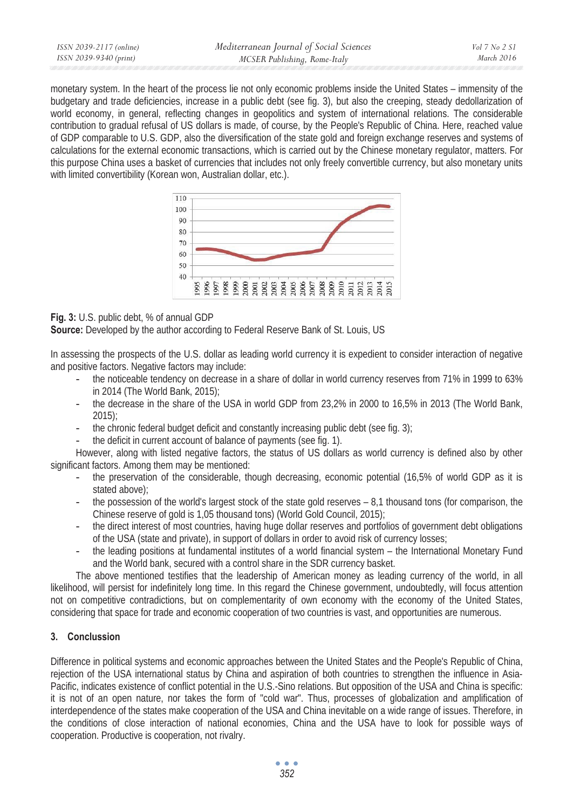| ISSN 2039-2117 (online) | Mediterranean Journal of Social Sciences | Vol 7 No 2 SI |
|-------------------------|------------------------------------------|---------------|
| ISSN 2039-9340 (print)  | MCSER Publishing, Rome-Italy             | March 2016    |

monetary system. In the heart of the process lie not only economic problems inside the United States – immensity of the budgetary and trade deficiencies, increase in a public debt (see fig. 3), but also the creeping, steady dedollarization of world economy, in general, reflecting changes in geopolitics and system of international relations. The considerable contribution to gradual refusal of US dollars is made, of course, by the People's Republic of China. Here, reached value of GDP comparable to U.S. GDP, also the diversification of the state gold and foreign exchange reserves and systems of calculations for the external economic transactions, which is carried out by the Chinese monetary regulator, matters. For this purpose China uses a basket of currencies that includes not only freely convertible currency, but also monetary units with limited convertibility (Korean won, Australian dollar, etc.).



### **Fig. 3:** U.S. public debt, % of annual GDP

**Source:** Developed by the author according to Federal Reserve Bank of St. Louis, US

In assessing the prospects of the U.S. dollar as leading world currency it is expedient to consider interaction of negative and positive factors. Negative factors may include:

- the noticeable tendency on decrease in a share of dollar in world currency reserves from 71% in 1999 to 63% in 2014 (The World Bank, 2015);
- the decrease in the share of the USA in world GDP from 23,2% in 2000 to 16,5% in 2013 (The World Bank, 2015);
- the chronic federal budget deficit and constantly increasing public debt (see fig. 3);
- the deficit in current account of balance of payments (see fig. 1).

However, along with listed negative factors, the status of US dollars as world currency is defined also by other significant factors. Among them may be mentioned:

- the preservation of the considerable, though decreasing, economic potential (16,5% of world GDP as it is stated above);
- the possession of the world's largest stock of the state gold reserves 8,1 thousand tons (for comparison, the Chinese reserve of gold is 1,05 thousand tons) (World Gold Council, 2015);
- the direct interest of most countries, having huge dollar reserves and portfolios of government debt obligations of the USA (state and private), in support of dollars in order to avoid risk of currency losses;
- the leading positions at fundamental institutes of a world financial system the International Monetary Fund and the World bank, secured with a control share in the SDR currency basket.

The above mentioned testifies that the leadership of American money as leading currency of the world, in all likelihood, will persist for indefinitely long time. In this regard the Chinese government, undoubtedly, will focus attention not on competitive contradictions, but on complementarity of own economy with the economy of the United States, considering that space for trade and economic cooperation of two countries is vast, and opportunities are numerous.

### **3. Conclussion**

Difference in political systems and economic approaches between the United States and the People's Republic of China, rejection of the USA international status by China and aspiration of both countries to strengthen the influence in Asia-Pacific, indicates existence of conflict potential in the U.S.-Sino relations. But opposition of the USA and China is specific: it is not of an open nature, nor takes the form of "cold war". Thus, processes of globalization and amplification of interdependence of the states make cooperation of the USA and China inevitable on a wide range of issues. Therefore, in the conditions of close interaction of national economies, China and the USA have to look for possible ways of cooperation. Productive is cooperation, not rivalry.